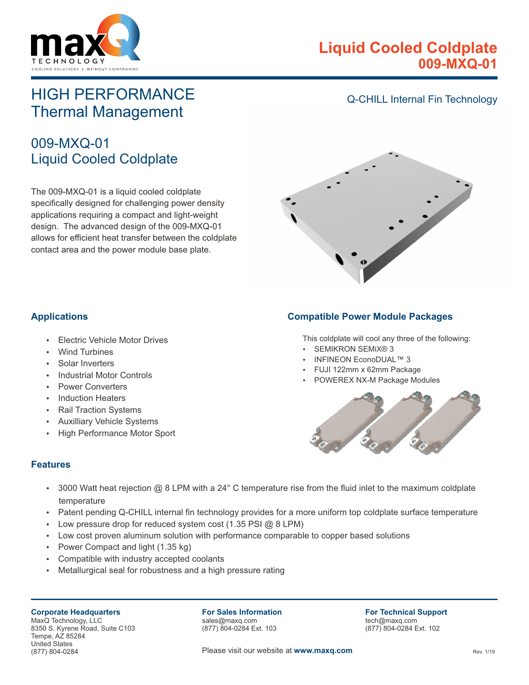

# **Liquid Cooled Coldplate 009-MXQ-01**

# HIGH PERFORMANCE Thermal Management

# 009-MXQ-01 Liquid Cooled Coldplate

The 009-MXQ-01 is a liquid cooled coldplate specifically designed for challenging power density applications requiring a compact and light-weight design. The advanced design of the 009-MXQ-01 allows for efficient heat transfer between the coldplate contact area and the power module base plate.

### Q-CHILL Internal Fin Technology



#### **Applications**

- **Electric Vehicle Motor Drives**
- **Wind Turbines**
- Solar Inverters
- **Industrial Motor Controls**
- Power Converters
- **Induction Heaters**
- **Rail Traction Systems**
- **Auxilliary Vehicle Systems**
- High Performance Motor Sport

#### **Compatible Power Module Packages**

This coldplate will cool any three of the following:

- SEMIKRON SEMIX® 3
- INFINEON EconoDUAL™ 3
- FUJI 122mm x 62mm Package
- POWEREX NX-M Package Modules



#### **Features**

- $\cdot$  3000 Watt heat rejection @ 8 LPM with a 24° C temperature rise from the fluid inlet to the maximum coldplate temperature
- Patent pending Q-CHILL internal fin technology provides for a more uniform top coldplate surface temperature
- Low pressure drop for reduced system cost (1.35 PSI  $@$  8 LPM)
- Low cost proven aluminum solution with performance comparable to copper based solutions
- Power Compact and light (1.35 kg)
- Compatible with industry accepted coolants
- Metallurgical seal for robustness and a high pressure rating

**Corporate Headquarters** MaxQ Technology, LLC 8350 S. Kyrene Road, Suite C103 Tempe, AZ 85284 United States (877) 804-0284

**For Sales Information** sales@maxq.com (877) 804-0284 Ext. 103

**For Technical Support** tech@maxq.com (877) 804-0284 Ext. 102